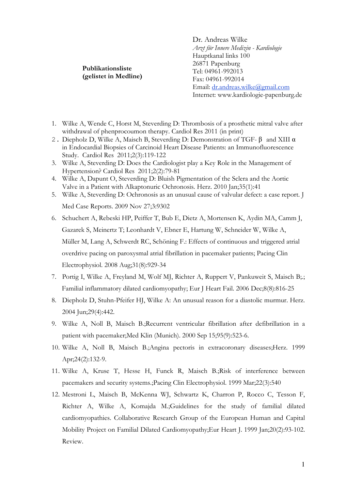Publikationsliste (gelistet in Medline)

Dr. Andreas Wilke Arzt für Innere Medizin - Kardiologie Hauptkanal links 100 26871 Papenburg Tel: 04961-992013 Fax: 04961-992014 Email: dr.andreas.wilke@gmail.com Internet: www.kardiologie-papenburg.de

- 1. Wilke A, Wende C, Horst M, Steverding D: Thrombosis of a prosthetic mitral valve after withdrawal of phenprocoumon therapy. Cardiol Res 2011 (in print)
- 2. Diepholz D, Wilke A, Maisch B, Steverding D: Demonstration of TGF- β and XIII α in Endocardial Biopsies of Carcinoid Heart Disease Patients: an Immunofluorescence Study. Cardiol Res 2011;2(3):119-122
- 3. Wilke A, Steverding D: Does the Cardiologist play a Key Role in the Management of Hypertension? Cardiol Res 2011;2(2):79-81
- 4. Wilke A, Dapunt O, Steverding D: Bluish Pigmentation of the Sclera and the Aortic Valve in a Patient with Alkaptonuric Ochronosis. Herz. 2010 Jan;35(1):41
- 5. Wilke A, Steverding D: Ochronosis as an unusual cause of valvular defect: a case report. J Med Case Reports. 2009 Nov 27;3:9302
- 6. Schuchert A, Rebeski HP, Peiffer T, Bub E, Dietz A, Mortensen K, Aydin MA, Camm J, Gazarek S, Meinertz T; Leonhardt V, Ebner E, Hartung W, Schneider W, Wilke A, Müller M, Lang A, Schwerdt RC, Schöning F.: Effects of continuous and triggered atrial overdrive pacing on paroxysmal atrial fibrillation in pacemaker patients; Pacing Clin Electrophysiol. 2008 Aug;31(8):929-34
- 7. Portig I, Wilke A, Freyland M, Wolf MJ, Richter A, Ruppert V, Pankuweit S, Maisch B;.; Familial inflammatory dilated cardiomyopathy; Eur J Heart Fail. 2006 Dec;8(8):816-25
- 8. Diepholz D, Stuhn-Pfeifer HJ, Wilke A: An unusual reason for a diastolic murmur. Herz. 2004 Jun;29(4):442.
- 9. Wilke A, Noll B, Maisch B.;Recurrent ventricular fibrillation after defibrillation in a patient with pacemaker;Med Klin (Munich). 2000 Sep 15;95(9):523-6.
- 10. Wilke A, Noll B, Maisch B.;Angina pectoris in extracoronary diseases;Herz. 1999 Apr;24(2):132-9.
- 11. Wilke A, Kruse T, Hesse H, Funck R, Maisch B.;Risk of interference between pacemakers and security systems.;Pacing Clin Electrophysiol. 1999 Mar;22(3):540
- 12. Mestroni L, Maisch B, McKenna WJ, Schwartz K, Charron P, Rocco C, Tesson F, Richter A, Wilke A, Komajda M.;Guidelines for the study of familial dilated cardiomyopathies. Collaborative Research Group of the European Human and Capital Mobility Project on Familial Dilated Cardiomyopathy;Eur Heart J. 1999 Jan;20(2):93-102. Review.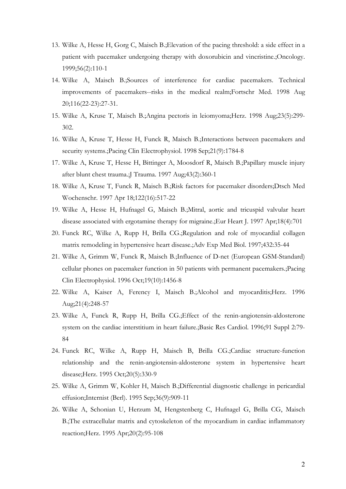- 13. Wilke A, Hesse H, Gorg C, Maisch B.;Elevation of the pacing threshold: a side effect in a patient with pacemaker undergoing therapy with doxorubicin and vincristine.;Oncology. 1999;56(2):110-1
- 14. Wilke A, Maisch B.;Sources of interference for cardiac pacemakers. Technical improvements of pacemakers--risks in the medical realm;Fortschr Med. 1998 Aug 20;116(22-23):27-31.
- 15. Wilke A, Kruse T, Maisch B.;Angina pectoris in leiomyoma;Herz. 1998 Aug;23(5):299- 302.
- 16. Wilke A, Kruse T, Hesse H, Funck R, Maisch B.;Interactions between pacemakers and security systems.; Pacing Clin Electrophysiol. 1998 Sep; 21(9): 1784-8
- 17. Wilke A, Kruse T, Hesse H, Bittinger A, Moosdorf R, Maisch B.;Papillary muscle injury after blunt chest trauma.;J Trauma. 1997 Aug;43(2):360-1
- 18. Wilke A, Kruse T, Funck R, Maisch B.;Risk factors for pacemaker disorders;Dtsch Med Wochenschr. 1997 Apr 18;122(16):517-22
- 19. Wilke A, Hesse H, Hufnagel G, Maisch B.;Mitral, aortic and tricuspid valvular heart disease associated with ergotamine therapy for migraine.;Eur Heart J. 1997 Apr;18(4):701
- 20. Funck RC, Wilke A, Rupp H, Brilla CG.;Regulation and role of myocardial collagen matrix remodeling in hypertensive heart disease.;Adv Exp Med Biol. 1997;432:35-44
- 21. Wilke A, Grimm W, Funck R, Maisch B.;Influence of D-net (European GSM-Standard) cellular phones on pacemaker function in 50 patients with permanent pacemakers.;Pacing Clin Electrophysiol. 1996 Oct;19(10):1456-8
- 22. Wilke A, Kaiser A, Ferency I, Maisch B.;Alcohol and myocarditis;Herz. 1996 Aug;21(4):248-57
- 23. Wilke A, Funck R, Rupp H, Brilla CG.;Effect of the renin-angiotensin-aldosterone system on the cardiac interstitium in heart failure.;Basic Res Cardiol. 1996;91 Suppl 2:79- 84
- 24. Funck RC, Wilke A, Rupp H, Maisch B, Brilla CG.;Cardiac structure-function relationship and the renin-angiotensin-aldosterone system in hypertensive heart disease;Herz. 1995 Oct;20(5):330-9
- 25. Wilke A, Grimm W, Kohler H, Maisch B.;Differential diagnostic challenge in pericardial effusion;Internist (Berl). 1995 Sep;36(9):909-11
- 26. Wilke A, Schonian U, Herzum M, Hengstenberg C, Hufnagel G, Brilla CG, Maisch B.;The extracellular matrix and cytoskeleton of the myocardium in cardiac inflammatory reaction;Herz. 1995 Apr;20(2):95-108